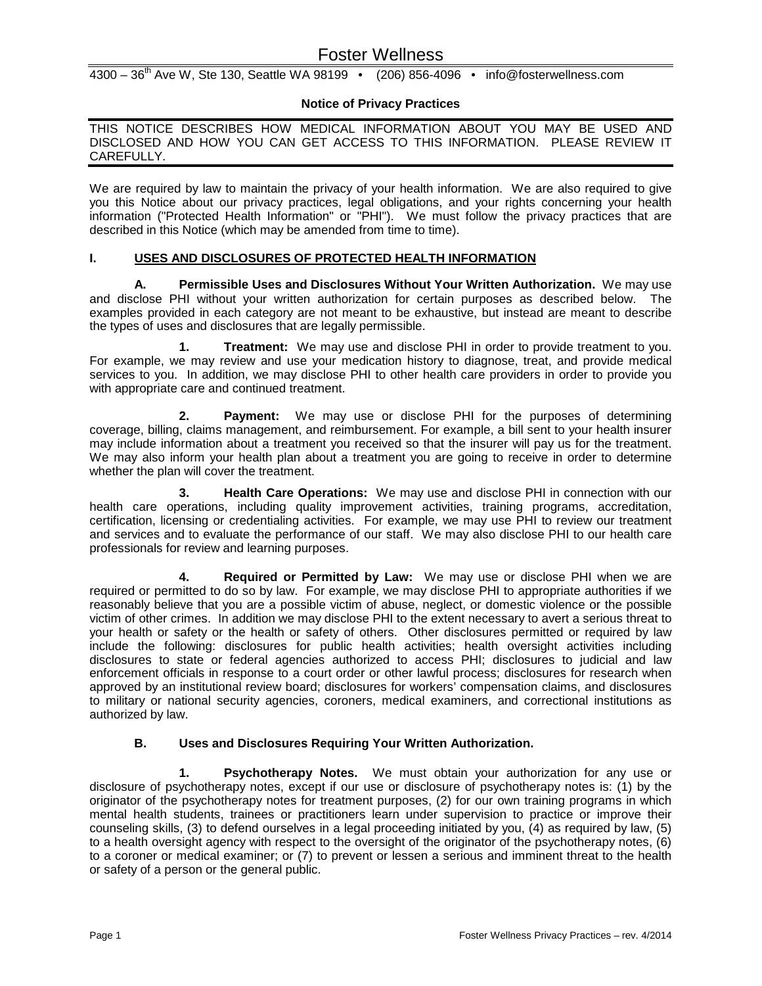# Foster Wellness

 $4300 - 36<sup>th</sup>$  Ave W, Ste 130, Seattle WA 98199 • (206) 856-4096 • info@fosterwellness.com

## **Notice of Privacy Practices**

THIS NOTICE DESCRIBES HOW MEDICAL INFORMATION ABOUT YOU MAY BE USED AND DISCLOSED AND HOW YOU CAN GET ACCESS TO THIS INFORMATION. PLEASE REVIEW IT CAREFULLY.

We are required by law to maintain the privacy of your health information. We are also required to give you this Notice about our privacy practices, legal obligations, and your rights concerning your health information ("Protected Health Information" or "PHI"). We must follow the privacy practices that are described in this Notice (which may be amended from time to time).

## **I. USES AND DISCLOSURES OF PROTECTED HEALTH INFORMATION**

**A. Permissible Uses and Disclosures Without Your Written Authorization.** We may use and disclose PHI without your written authorization for certain purposes as described below. The examples provided in each category are not meant to be exhaustive, but instead are meant to describe the types of uses and disclosures that are legally permissible.

**1. Treatment:** We may use and disclose PHI in order to provide treatment to you. For example, we may review and use your medication history to diagnose, treat, and provide medical services to you. In addition, we may disclose PHI to other health care providers in order to provide you with appropriate care and continued treatment.

**2. Payment:** We may use or disclose PHI for the purposes of determining coverage, billing, claims management, and reimbursement. For example, a bill sent to your health insurer may include information about a treatment you received so that the insurer will pay us for the treatment. We may also inform your health plan about a treatment you are going to receive in order to determine whether the plan will cover the treatment.

**3. Health Care Operations:** We may use and disclose PHI in connection with our health care operations, including quality improvement activities, training programs, accreditation, certification, licensing or credentialing activities. For example, we may use PHI to review our treatment and services and to evaluate the performance of our staff. We may also disclose PHI to our health care professionals for review and learning purposes.

**4. Required or Permitted by Law:** We may use or disclose PHI when we are required or permitted to do so by law. For example, we may disclose PHI to appropriate authorities if we reasonably believe that you are a possible victim of abuse, neglect, or domestic violence or the possible victim of other crimes. In addition we may disclose PHI to the extent necessary to avert a serious threat to your health or safety or the health or safety of others. Other disclosures permitted or required by law include the following: disclosures for public health activities; health oversight activities including disclosures to state or federal agencies authorized to access PHI; disclosures to judicial and law enforcement officials in response to a court order or other lawful process; disclosures for research when approved by an institutional review board; disclosures for workers' compensation claims, and disclosures to military or national security agencies, coroners, medical examiners, and correctional institutions as authorized by law.

#### **B. Uses and Disclosures Requiring Your Written Authorization.**

**1. Psychotherapy Notes.** We must obtain your authorization for any use or disclosure of psychotherapy notes, except if our use or disclosure of psychotherapy notes is: (1) by the originator of the psychotherapy notes for treatment purposes, (2) for our own training programs in which mental health students, trainees or practitioners learn under supervision to practice or improve their counseling skills, (3) to defend ourselves in a legal proceeding initiated by you, (4) as required by law, (5) to a health oversight agency with respect to the oversight of the originator of the psychotherapy notes, (6) to a coroner or medical examiner; or (7) to prevent or lessen a serious and imminent threat to the health or safety of a person or the general public.